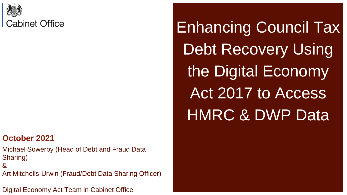

#### **October 2021**

Michael Sowerby (Head of Debt and Fraud Data Sharing)

&

Art Mitchells-Urwin (Fraud/Debt Data Sharing Officer)

Digital Economy Act Team in Cabinet Office

Enhancing Council Tax Debt Recovery Using the Digital Economy Act 2017 to Access HMRC & DWP Data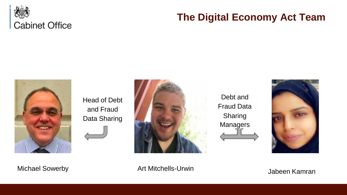

#### **The Digital Economy Act Team**



Head of Debt and Fraud Data Sharing



Debt and Fraud Data Sharing **Managers** 



Michael Sowerby **Art Mitchells-Urwin** Michael Sowerby **Art Mitchells-Urwin**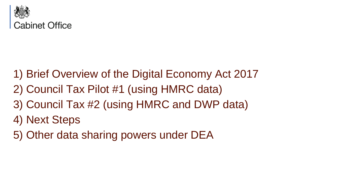

- 1) Brief Overview of the Digital Economy Act 2017
- 2) Council Tax Pilot #1 (using HMRC data)
- 3) Council Tax #2 (using HMRC and DWP data)
- 4) Next Steps
- 5) Other data sharing powers under DEA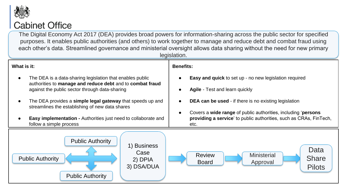

#### **Cabinet Office**

The Digital Economy Act 2017 (DEA) provides broad powers for information-sharing across the public sector for specified purposes. It enables public authorities (and others) to work together to manage and reduce debt and combat fraud using each other's data. Streamlined governance and ministerial oversight allows data sharing without the need for new primary

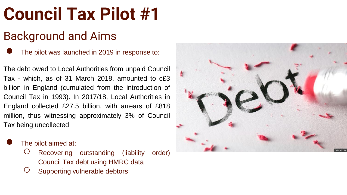#### Background and Aims

● The pilot was launched in 2019 in response to:

The debt owed to Local Authorities from unpaid Council Tax - which, as of 31 March 2018 , amounted to c £ 3 billion in England (cumulated from the introduction of Council Tax in 1993 ) . In 2017 /18 , Local Authorities in England collected £27 . 5 billion, with arrears of £818 million, thus witnessing approximately 3 % of Council Tax being uncollected .

- The pilot aimed at:
	- $\circ$  Recovering outstanding (liability order) Council Tax debt using HMRC data
	- Supporting vulnerable debtors

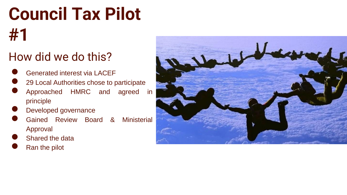#### How did we do this?

- 
- example are dinterest via LACEF<br>
29 Local Authorities chose to participate<br>
Approached HMRC and agreed in
- principle
- Developed governance<br>
Gained Review Board
- & Ministerial Approval
- Shared the data<br>Ran the pilot
- 

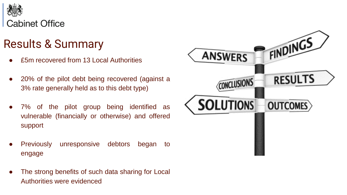

#### Results & Summary

- £5m recovered from 13 Local Authorities
- 20% of the pilot debt being recovered (against a 3% rate generally held as to this debt type)
- 7% of the pilot group being identified as vulnerable (financially or otherwise) and offered support
- Previously unresponsive debtors began to engage
- The strong benefits of such data sharing for Local Authorities were evidenced

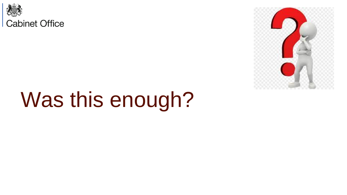

# Was this enough?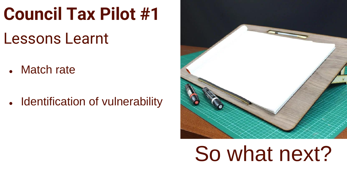### Lessons Learnt

- Match rate
- Identification of vulnerability



# So what next?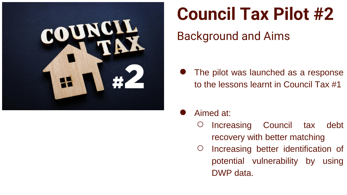

#### Background and Aims

- The pilot was launched as a response to the lessons learnt in Council Tax #1
- Aimed at:
	- Increasing Council tax debt recovery with better matching
	- Increasing better identification of potential vulnerability by using DWP data.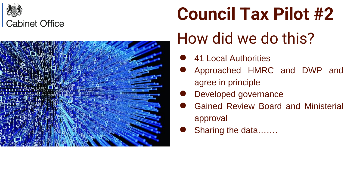



#### How did we do this?

- **41 Local Authorities**
- Approached HMRC and DWP and agree in principle
- Developed governance
- Gained Review Board and Ministerial approval
- Sharing the data…….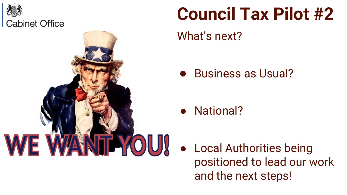

# **ITENOU!**

# **Council Tax Pilot #2**

What's next?

● Business as Usual?

● National?

● Local Authorities being positioned to lead our work and the next steps!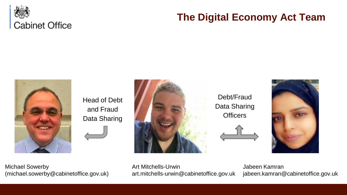

#### **The Digital Economy Act Team**



Head of Debt and Fraud Data Sharing



Debt/Fraud Data Sharing **Officers** 



Michael Sowerby (michael.sowerby@cabinetoffice.gov.uk) Art Mitchells-Urwin art.mitchells-urwin@cabinetoffice.gov.uk

Jabeen Kamran jabeen.kamran@cabinetoffice.gov.uk